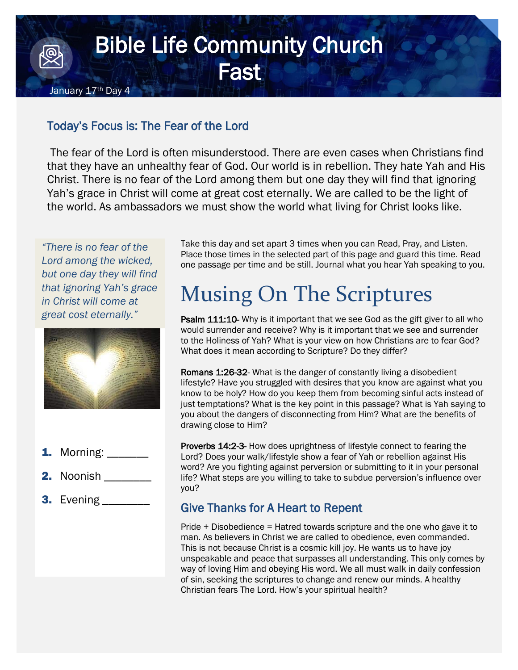## Bible Life Community Church **Fast**

## Today's Focus is: The Fear of the Lord

The fear of the Lord is often misunderstood. There are even cases when Christians find that they have an unhealthy fear of God. Our world is in rebellion. They hate Yah and His Christ. There is no fear of the Lord among them but one day they will find that ignoring Yah's grace in Christ will come at great cost eternally. We are called to be the light of the world. As ambassadors we must show the world what living for Christ looks like.

*"There is no fear of the Lord among the wicked, but one day they will find that ignoring Yah's grace in Christ will come at great cost eternally."*

January 17<sup>th</sup> Day 4



- **1.** Morning:
- 2. Noonish
- **3.** Evening \_\_\_\_\_\_\_\_\_

Take this day and set apart 3 times when you can Read, Pray, and Listen. Place those times in the selected part of this page and guard this time. Read one passage per time and be still. Journal what you hear Yah speaking to you.

## Musing On The Scriptures

**Psalm 111:10-** Why is it important that we see God as the gift giver to all who would surrender and receive? Why is it important that we see and surrender to the Holiness of Yah? What is your view on how Christians are to fear God? What does it mean according to Scripture? Do they differ?

Romans 1:26-32- What is the danger of constantly living a disobedient lifestyle? Have you struggled with desires that you know are against what you know to be holy? How do you keep them from becoming sinful acts instead of just temptations? What is the key point in this passage? What is Yah saying to you about the dangers of disconnecting from Him? What are the benefits of drawing close to Him?

Proverbs 14:2-3- How does uprightness of lifestyle connect to fearing the Lord? Does your walk/lifestyle show a fear of Yah or rebellion against His word? Are you fighting against perversion or submitting to it in your personal life? What steps are you willing to take to subdue perversion's influence over you?

## Give Thanks for A Heart to Repent

Pride + Disobedience = Hatred towards scripture and the one who gave it to man. As believers in Christ we are called to obedience, even commanded. This is not because Christ is a cosmic kill joy. He wants us to have joy unspeakable and peace that surpasses all understanding. This only comes by way of loving Him and obeying His word. We all must walk in daily confession of sin, seeking the scriptures to change and renew our minds. A healthy Christian fears The Lord. How's your spiritual health?